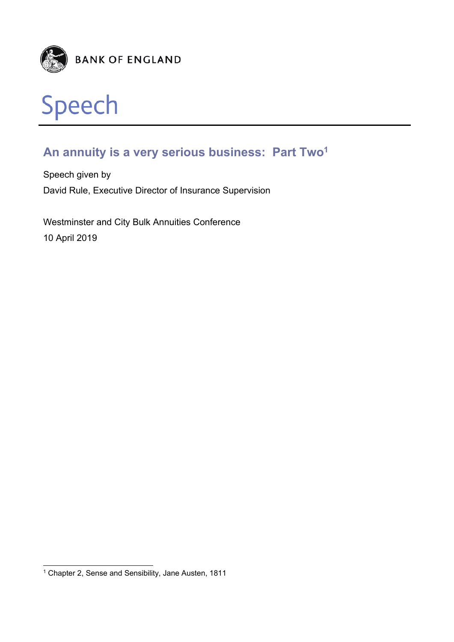



# **An annuity is a very serious business: Part Two1**

Speech given by David Rule, Executive Director of Insurance Supervision

Westminster and City Bulk Annuities Conference 10 April 2019

l

<sup>&</sup>lt;sup>1</sup> Chapter 2, Sense and Sensibility, Jane Austen, 1811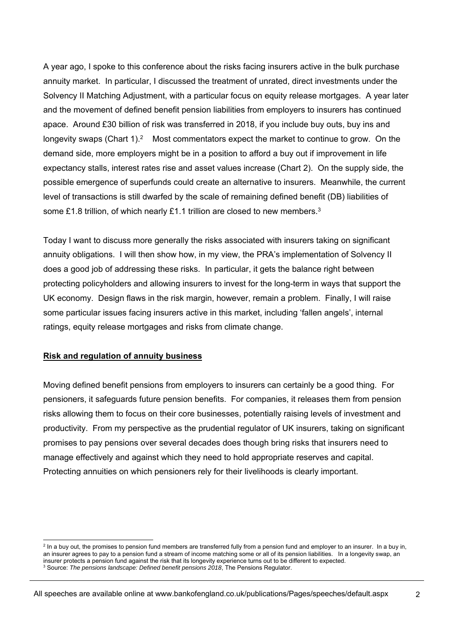A year ago, I spoke to this conference about the risks facing insurers active in the bulk purchase annuity market. In particular, I discussed the treatment of unrated, direct investments under the Solvency II Matching Adjustment, with a particular focus on equity release mortgages. A year later and the movement of defined benefit pension liabilities from employers to insurers has continued apace. Around £30 billion of risk was transferred in 2018, if you include buy outs, buy ins and longevity swaps (Chart 1).<sup>2</sup> Most commentators expect the market to continue to grow. On the demand side, more employers might be in a position to afford a buy out if improvement in life expectancy stalls, interest rates rise and asset values increase (Chart 2). On the supply side, the possible emergence of superfunds could create an alternative to insurers. Meanwhile, the current level of transactions is still dwarfed by the scale of remaining defined benefit (DB) liabilities of some £1.8 trillion, of which nearly £1.1 trillion are closed to new members.<sup>3</sup>

Today I want to discuss more generally the risks associated with insurers taking on significant annuity obligations. I will then show how, in my view, the PRA's implementation of Solvency II does a good job of addressing these risks. In particular, it gets the balance right between protecting policyholders and allowing insurers to invest for the long-term in ways that support the UK economy. Design flaws in the risk margin, however, remain a problem. Finally, I will raise some particular issues facing insurers active in this market, including 'fallen angels', internal ratings, equity release mortgages and risks from climate change.

# **Risk and regulation of annuity business**

Moving defined benefit pensions from employers to insurers can certainly be a good thing. For pensioners, it safeguards future pension benefits. For companies, it releases them from pension risks allowing them to focus on their core businesses, potentially raising levels of investment and productivity. From my perspective as the prudential regulator of UK insurers, taking on significant promises to pay pensions over several decades does though bring risks that insurers need to manage effectively and against which they need to hold appropriate reserves and capital. Protecting annuities on which pensioners rely for their livelihoods is clearly important.

 2 In a buy out, the promises to pension fund members are transferred fully from a pension fund and employer to an insurer. In a buy in, an insurer agrees to pay to a pension fund a stream of income matching some or all of its pension liabilities. In a longevity swap, an insurer protects a pension fund against the risk that its longevity experience turns out to be different to expected. 3 <sup>3</sup> Source: *The pensions landscape: Defined benefit pensions 2018*, The Pensions Regulator.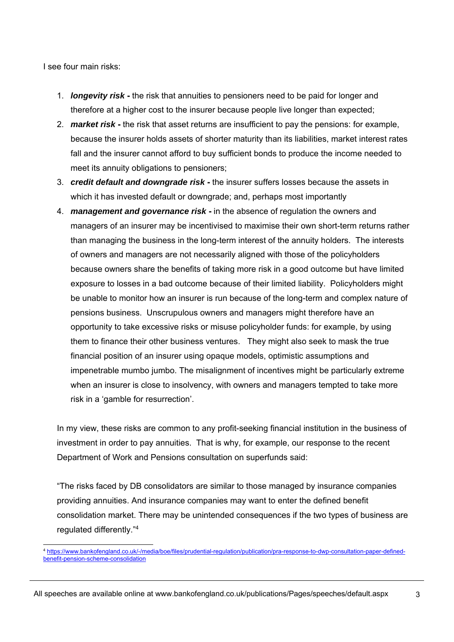I see four main risks:

- 1. *longevity risk* **-** the risk that annuities to pensioners need to be paid for longer and therefore at a higher cost to the insurer because people live longer than expected;
- 2. *market risk* **-** the risk that asset returns are insufficient to pay the pensions: for example, because the insurer holds assets of shorter maturity than its liabilities, market interest rates fall and the insurer cannot afford to buy sufficient bonds to produce the income needed to meet its annuity obligations to pensioners;
- 3. *credit default and downgrade risk* **-** the insurer suffers losses because the assets in which it has invested default or downgrade; and, perhaps most importantly
- 4. *management and governance risk* **-** in the absence of regulation the owners and managers of an insurer may be incentivised to maximise their own short-term returns rather than managing the business in the long-term interest of the annuity holders. The interests of owners and managers are not necessarily aligned with those of the policyholders because owners share the benefits of taking more risk in a good outcome but have limited exposure to losses in a bad outcome because of their limited liability. Policyholders might be unable to monitor how an insurer is run because of the long-term and complex nature of pensions business. Unscrupulous owners and managers might therefore have an opportunity to take excessive risks or misuse policyholder funds: for example, by using them to finance their other business ventures. They might also seek to mask the true financial position of an insurer using opaque models, optimistic assumptions and impenetrable mumbo jumbo. The misalignment of incentives might be particularly extreme when an insurer is close to insolvency, with owners and managers tempted to take more risk in a 'gamble for resurrection'.

In my view, these risks are common to any profit-seeking financial institution in the business of investment in order to pay annuities. That is why, for example, our response to the recent Department of Work and Pensions consultation on superfunds said:

"The risks faced by DB consolidators are similar to those managed by insurance companies providing annuities. And insurance companies may want to enter the defined benefit consolidation market. There may be unintended consequences if the two types of business are regulated differently."4

l <sup>4</sup> https://www.bankofengland.co.uk/-/media/boe/files/prudential-regulation/publication/pra-response-to-dwp-consultation-paper-definedbenefit-pension-scheme-consolidation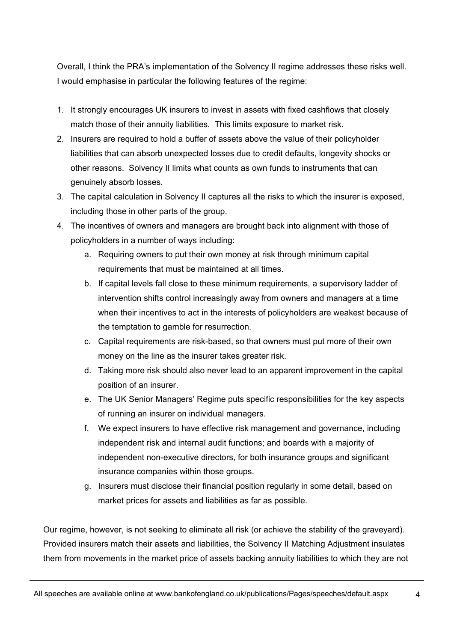Overall, I think the PRA's implementation of the Solvency II regime addresses these risks well. I would emphasise in particular the following features of the regime:

- 1. It strongly encourages UK insurers to invest in assets with fixed cashflows that closely match those of their annuity liabilities. This limits exposure to market risk.
- 2. Insurers are required to hold a buffer of assets above the value of their policyholder liabilities that can absorb unexpected losses due to credit defaults, longevity shocks or other reasons. Solvency II limits what counts as own funds to instruments that can genuinely absorb losses.
- 3. The capital calculation in Solvency II captures all the risks to which the insurer is exposed, including those in other parts of the group.
- 4. The incentives of owners and managers are brought back into alignment with those of policyholders in a number of ways including:
	- a. Requiring owners to put their own money at risk through minimum capital requirements that must be maintained at all times.
	- b. If capital levels fall close to these minimum requirements, a supervisory ladder of intervention shifts control increasingly away from owners and managers at a time when their incentives to act in the interests of policyholders are weakest because of the temptation to gamble for resurrection.
	- c. Capital requirements are risk-based, so that owners must put more of their own money on the line as the insurer takes greater risk.
	- d. Taking more risk should also never lead to an apparent improvement in the capital position of an insurer.
	- e. The UK Senior Managers' Regime puts specific responsibilities for the key aspects of running an insurer on individual managers.
	- f. We expect insurers to have effective risk management and governance, including independent risk and internal audit functions; and boards with a majority of independent non-executive directors, for both insurance groups and significant insurance companies within those groups.
	- g. Insurers must disclose their financial position regularly in some detail, based on market prices for assets and liabilities as far as possible.

Our regime, however, is not seeking to eliminate all risk (or achieve the stability of the graveyard). Provided insurers match their assets and liabilities, the Solvency II Matching Adjustment insulates them from movements in the market price of assets backing annuity liabilities to which they are not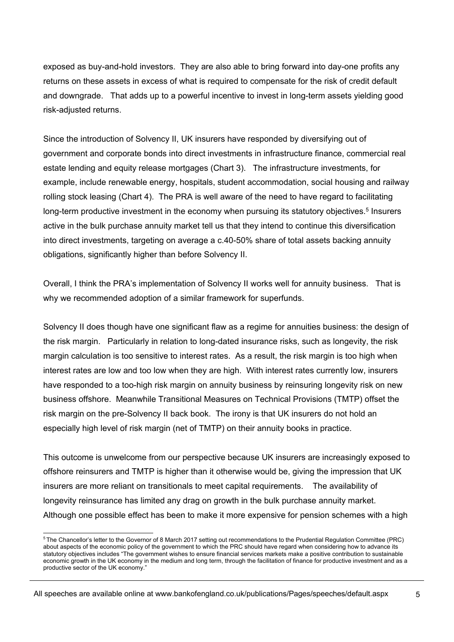exposed as buy-and-hold investors. They are also able to bring forward into day-one profits any returns on these assets in excess of what is required to compensate for the risk of credit default and downgrade. That adds up to a powerful incentive to invest in long-term assets yielding good risk-adjusted returns.

Since the introduction of Solvency II, UK insurers have responded by diversifying out of government and corporate bonds into direct investments in infrastructure finance, commercial real estate lending and equity release mortgages (Chart 3). The infrastructure investments, for example, include renewable energy, hospitals, student accommodation, social housing and railway rolling stock leasing (Chart 4). The PRA is well aware of the need to have regard to facilitating long-term productive investment in the economy when pursuing its statutory objectives.<sup>5</sup> Insurers active in the bulk purchase annuity market tell us that they intend to continue this diversification into direct investments, targeting on average a c.40-50% share of total assets backing annuity obligations, significantly higher than before Solvency II.

Overall, I think the PRA's implementation of Solvency II works well for annuity business. That is why we recommended adoption of a similar framework for superfunds.

Solvency II does though have one significant flaw as a regime for annuities business: the design of the risk margin. Particularly in relation to long-dated insurance risks, such as longevity, the risk margin calculation is too sensitive to interest rates. As a result, the risk margin is too high when interest rates are low and too low when they are high. With interest rates currently low, insurers have responded to a too-high risk margin on annuity business by reinsuring longevity risk on new business offshore. Meanwhile Transitional Measures on Technical Provisions (TMTP) offset the risk margin on the pre-Solvency II back book. The irony is that UK insurers do not hold an especially high level of risk margin (net of TMTP) on their annuity books in practice.

This outcome is unwelcome from our perspective because UK insurers are increasingly exposed to offshore reinsurers and TMTP is higher than it otherwise would be, giving the impression that UK insurers are more reliant on transitionals to meet capital requirements. The availability of longevity reinsurance has limited any drag on growth in the bulk purchase annuity market. Although one possible effect has been to make it more expensive for pension schemes with a high

l  $^5$ The Chancellor's letter to the Governor of 8 March 2017 setting out recommendations to the Prudential Regulation Committee (PRC) about aspects of the economic policy of the government to which the PRC should have regard when considering how to advance its statutory objectives includes "The government wishes to ensure financial services markets make a positive contribution to sustainable economic growth in the UK economy in the medium and long term, through the facilitation of finance for productive investment and as a productive sector of the UK economy."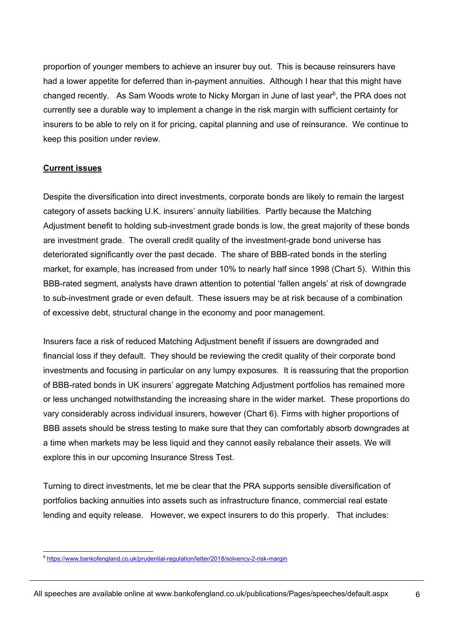proportion of younger members to achieve an insurer buy out. This is because reinsurers have had a lower appetite for deferred than in-payment annuities. Although I hear that this might have changed recently. As Sam Woods wrote to Nicky Morgan in June of last year<sup>6</sup>, the PRA does not currently see a durable way to implement a change in the risk margin with sufficient certainty for insurers to be able to rely on it for pricing, capital planning and use of reinsurance. We continue to keep this position under review.

# **Current issues**

Despite the diversification into direct investments, corporate bonds are likely to remain the largest category of assets backing U.K. insurers' annuity liabilities. Partly because the Matching Adjustment benefit to holding sub-investment grade bonds is low, the great majority of these bonds are investment grade. The overall credit quality of the investment-grade bond universe has deteriorated significantly over the past decade. The share of BBB-rated bonds in the sterling market, for example, has increased from under 10% to nearly half since 1998 (Chart 5). Within this BBB-rated segment, analysts have drawn attention to potential 'fallen angels' at risk of downgrade to sub-investment grade or even default. These issuers may be at risk because of a combination of excessive debt, structural change in the economy and poor management.

Insurers face a risk of reduced Matching Adjustment benefit if issuers are downgraded and financial loss if they default. They should be reviewing the credit quality of their corporate bond investments and focusing in particular on any lumpy exposures. It is reassuring that the proportion of BBB-rated bonds in UK insurers' aggregate Matching Adjustment portfolios has remained more or less unchanged notwithstanding the increasing share in the wider market. These proportions do vary considerably across individual insurers, however (Chart 6). Firms with higher proportions of BBB assets should be stress testing to make sure that they can comfortably absorb downgrades at a time when markets may be less liquid and they cannot easily rebalance their assets. We will explore this in our upcoming Insurance Stress Test.

Turning to direct investments, let me be clear that the PRA supports sensible diversification of portfolios backing annuities into assets such as infrastructure finance, commercial real estate lending and equity release. However, we expect insurers to do this properly. That includes:

l <sup>6</sup> https://www.bankofengland.co.uk/prudential-regulation/letter/2018/solvency-2-risk-margin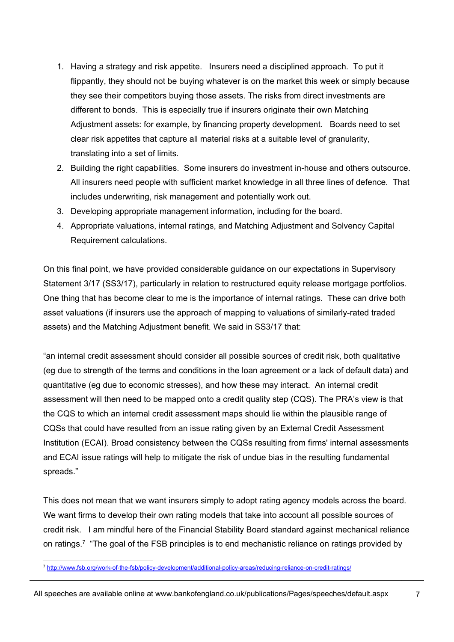- 1. Having a strategy and risk appetite. Insurers need a disciplined approach. To put it flippantly, they should not be buying whatever is on the market this week or simply because they see their competitors buying those assets. The risks from direct investments are different to bonds. This is especially true if insurers originate their own Matching Adjustment assets: for example, by financing property development. Boards need to set clear risk appetites that capture all material risks at a suitable level of granularity, translating into a set of limits.
- 2. Building the right capabilities. Some insurers do investment in-house and others outsource. All insurers need people with sufficient market knowledge in all three lines of defence. That includes underwriting, risk management and potentially work out.
- 3. Developing appropriate management information, including for the board.
- 4. Appropriate valuations, internal ratings, and Matching Adjustment and Solvency Capital Requirement calculations.

On this final point, we have provided considerable guidance on our expectations in Supervisory Statement 3/17 (SS3/17), particularly in relation to restructured equity release mortgage portfolios. One thing that has become clear to me is the importance of internal ratings. These can drive both asset valuations (if insurers use the approach of mapping to valuations of similarly-rated traded assets) and the Matching Adjustment benefit. We said in SS3/17 that:

"an internal credit assessment should consider all possible sources of credit risk, both qualitative (eg due to strength of the terms and conditions in the loan agreement or a lack of default data) and quantitative (eg due to economic stresses), and how these may interact. An internal credit assessment will then need to be mapped onto a credit quality step (CQS). The PRA's view is that the CQS to which an internal credit assessment maps should lie within the plausible range of CQSs that could have resulted from an issue rating given by an External Credit Assessment Institution (ECAI). Broad consistency between the CQSs resulting from firms' internal assessments and ECAI issue ratings will help to mitigate the risk of undue bias in the resulting fundamental spreads."

This does not mean that we want insurers simply to adopt rating agency models across the board. We want firms to develop their own rating models that take into account all possible sources of credit risk. I am mindful here of the Financial Stability Board standard against mechanical reliance on ratings.<sup>7</sup> "The goal of the FSB principles is to end mechanistic reliance on ratings provided by

l <sup>7</sup> http://www.fsb.org/work-of-the-fsb/policy-development/additional-policy-areas/reducing-reliance-on-credit-ratings/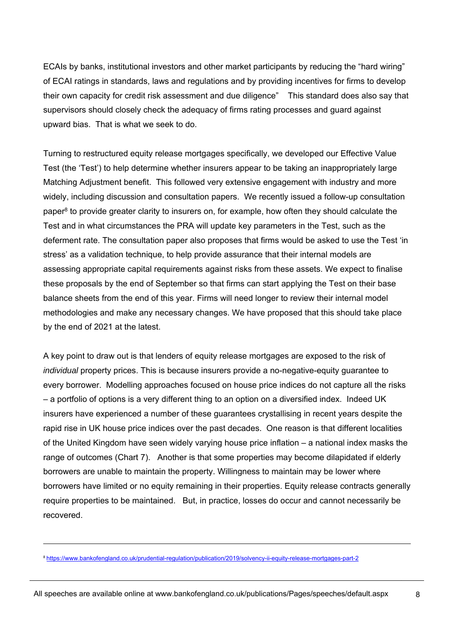ECAIs by banks, institutional investors and other market participants by reducing the "hard wiring" of ECAI ratings in standards, laws and regulations and by providing incentives for firms to develop their own capacity for credit risk assessment and due diligence" This standard does also say that supervisors should closely check the adequacy of firms rating processes and guard against upward bias. That is what we seek to do.

Turning to restructured equity release mortgages specifically, we developed our Effective Value Test (the 'Test') to help determine whether insurers appear to be taking an inappropriately large Matching Adjustment benefit. This followed very extensive engagement with industry and more widely, including discussion and consultation papers. We recently issued a follow-up consultation paper $8$  to provide greater clarity to insurers on, for example, how often they should calculate the Test and in what circumstances the PRA will update key parameters in the Test, such as the deferment rate. The consultation paper also proposes that firms would be asked to use the Test 'in stress' as a validation technique, to help provide assurance that their internal models are assessing appropriate capital requirements against risks from these assets. We expect to finalise these proposals by the end of September so that firms can start applying the Test on their base balance sheets from the end of this year. Firms will need longer to review their internal model methodologies and make any necessary changes. We have proposed that this should take place by the end of 2021 at the latest.

A key point to draw out is that lenders of equity release mortgages are exposed to the risk of *individual* property prices. This is because insurers provide a no-negative-equity guarantee to every borrower. Modelling approaches focused on house price indices do not capture all the risks – a portfolio of options is a very different thing to an option on a diversified index. Indeed UK insurers have experienced a number of these guarantees crystallising in recent years despite the rapid rise in UK house price indices over the past decades. One reason is that different localities of the United Kingdom have seen widely varying house price inflation – a national index masks the range of outcomes (Chart 7). Another is that some properties may become dilapidated if elderly borrowers are unable to maintain the property. Willingness to maintain may be lower where borrowers have limited or no equity remaining in their properties. Equity release contracts generally require properties to be maintained. But, in practice, losses do occur and cannot necessarily be recovered.

l

<sup>8</sup> https://www.bankofengland.co.uk/prudential-regulation/publication/2019/solvency-ii-equity-release-mortgages-part-2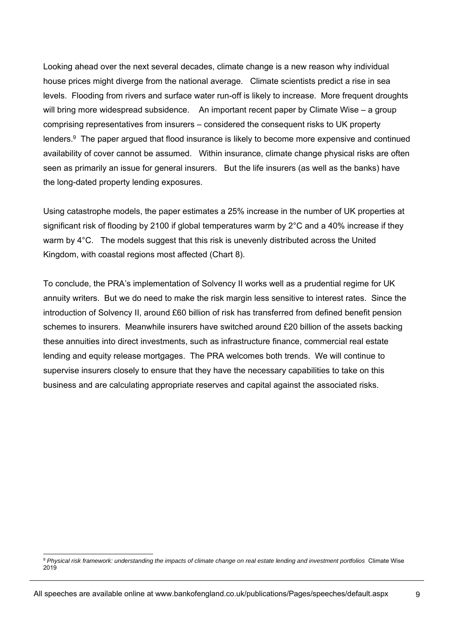Looking ahead over the next several decades, climate change is a new reason why individual house prices might diverge from the national average. Climate scientists predict a rise in sea levels. Flooding from rivers and surface water run-off is likely to increase. More frequent droughts will bring more widespread subsidence. An important recent paper by Climate Wise – a group comprising representatives from insurers – considered the consequent risks to UK property lenders.9 The paper argued that flood insurance is likely to become more expensive and continued availability of cover cannot be assumed. Within insurance, climate change physical risks are often seen as primarily an issue for general insurers. But the life insurers (as well as the banks) have the long-dated property lending exposures.

Using catastrophe models, the paper estimates a 25% increase in the number of UK properties at significant risk of flooding by 2100 if global temperatures warm by 2°C and a 40% increase if they warm by 4<sup>°</sup>C. The models suggest that this risk is unevenly distributed across the United Kingdom, with coastal regions most affected (Chart 8).

To conclude, the PRA's implementation of Solvency II works well as a prudential regime for UK annuity writers. But we do need to make the risk margin less sensitive to interest rates. Since the introduction of Solvency II, around £60 billion of risk has transferred from defined benefit pension schemes to insurers. Meanwhile insurers have switched around £20 billion of the assets backing these annuities into direct investments, such as infrastructure finance, commercial real estate lending and equity release mortgages. The PRA welcomes both trends. We will continue to supervise insurers closely to ensure that they have the necessary capabilities to take on this business and are calculating appropriate reserves and capital against the associated risks.

l

<sup>9</sup> *Physical risk framework: understanding the impacts of climate change on real estate lending and investment portfolios* Climate Wise 2019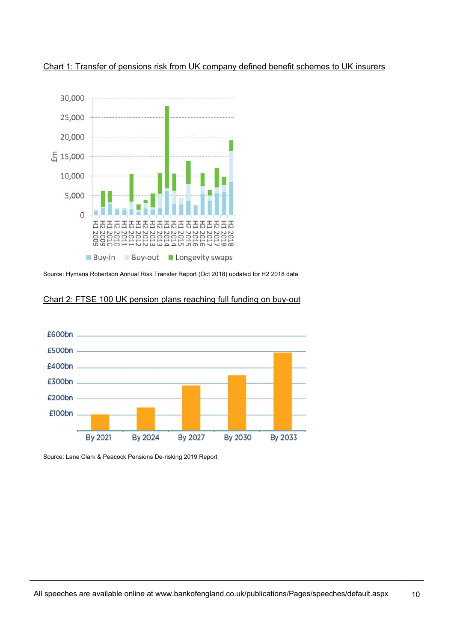

Chart 1: Transfer of pensions risk from UK company defined benefit schemes to UK insurers

Source: Hymans Robertson Annual Risk Transfer Report (Oct 2018) updated for H2 2018 data

## Chart 2: FTSE 100 UK pension plans reaching full funding on buy-out



Source: Lane Clark & Peacock Pensions De-risking 2019 Report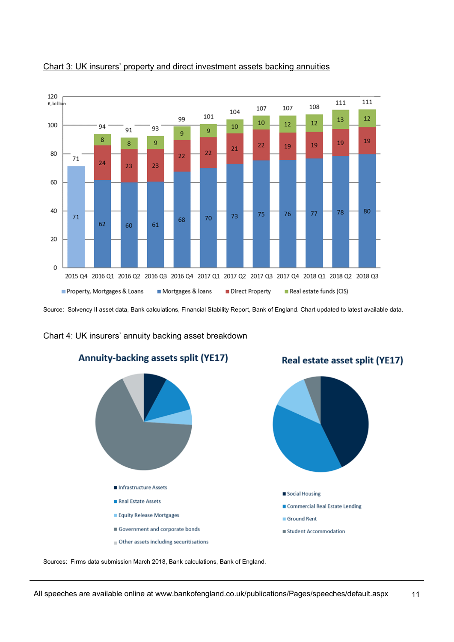

#### Chart 3: UK insurers' property and direct investment assets backing annuities

Source: Solvency II asset data, Bank calculations, Financial Stability Report, Bank of England. Chart updated to latest available data.

#### Chart 4: UK insurers' annuity backing asset breakdown



Sources: Firms data submission March 2018, Bank calculations, Bank of England.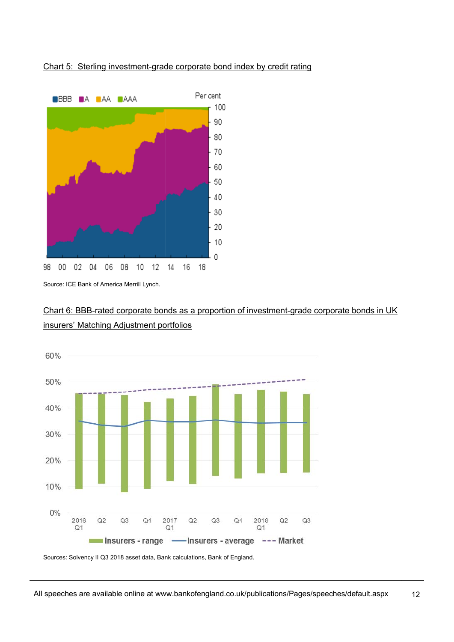## Chart 5: Sterling investment-grade corporate bond index by credit rating



Source: ICE Bank of America Merrill Lynch.





Sources: Solvency II Q3 2018 asset data, Bank calculations, Bank of England.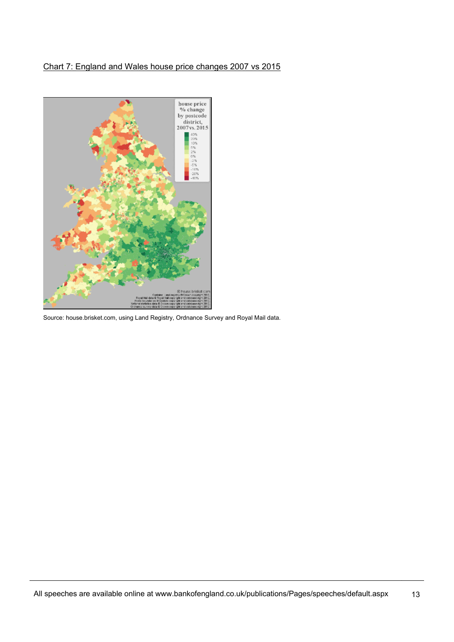# Chart 7: England and Wales house price changes 2007 vs 2015



Source: house.brisket.com, using Land Registry, Ordnance Survey and Royal Mail data.